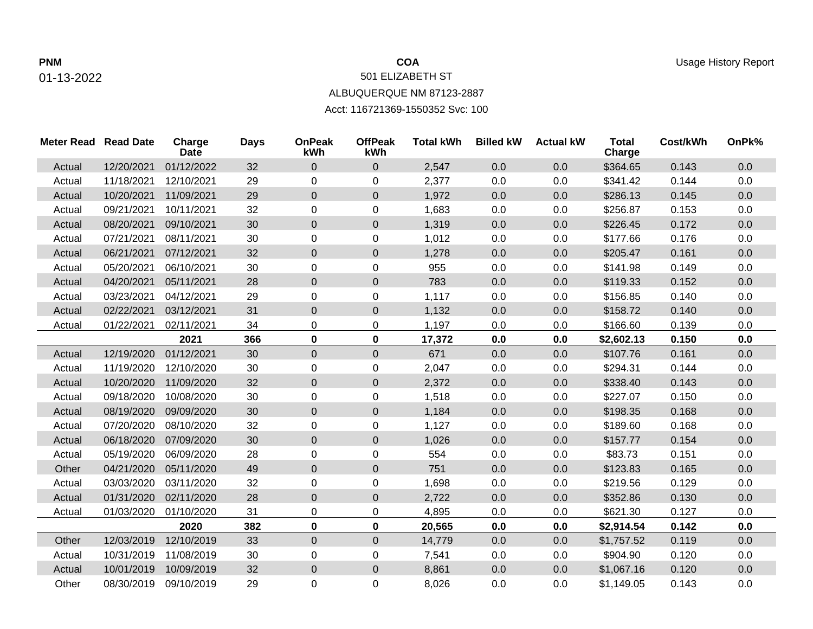## 01-13-2022

## 501 ELIZABETH ST ALBUQUERQUE NM 87123-2887

Acct: 116721369-1550352 Svc: 100

| <b>Meter Read Read Date</b> |            | Charge<br><b>Date</b> | <b>Days</b> | <b>OnPeak</b><br>kWh | <b>OffPeak</b><br>kWh | <b>Total kWh</b> | <b>Billed kW</b> | <b>Actual kW</b> | <b>Total</b><br>Charge | Cost/kWh | OnPk% |
|-----------------------------|------------|-----------------------|-------------|----------------------|-----------------------|------------------|------------------|------------------|------------------------|----------|-------|
| Actual                      | 12/20/2021 | 01/12/2022            | 32          | $\mathbf 0$          | $\mathbf 0$           | 2,547            | 0.0              | 0.0              | \$364.65               | 0.143    | 0.0   |
| Actual                      | 11/18/2021 | 12/10/2021            | 29          | $\Omega$             | 0                     | 2,377            | 0.0              | 0.0              | \$341.42               | 0.144    | 0.0   |
| Actual                      | 10/20/2021 | 11/09/2021            | 29          | $\mathbf 0$          | $\mathbf 0$           | 1,972            | 0.0              | 0.0              | \$286.13               | 0.145    | 0.0   |
| Actual                      | 09/21/2021 | 10/11/2021            | 32          | $\mathbf 0$          | 0                     | 1,683            | 0.0              | 0.0              | \$256.87               | 0.153    | 0.0   |
| Actual                      | 08/20/2021 | 09/10/2021            | 30          | $\mathbf 0$          | $\mathbf 0$           | 1,319            | 0.0              | 0.0              | \$226.45               | 0.172    | 0.0   |
| Actual                      | 07/21/2021 | 08/11/2021            | 30          | $\mathbf 0$          | 0                     | 1,012            | 0.0              | 0.0              | \$177.66               | 0.176    | 0.0   |
| Actual                      | 06/21/2021 | 07/12/2021            | 32          | $\overline{0}$       | $\pmb{0}$             | 1,278            | 0.0              | 0.0              | \$205.47               | 0.161    | 0.0   |
| Actual                      | 05/20/2021 | 06/10/2021            | 30          | 0                    | 0                     | 955              | 0.0              | 0.0              | \$141.98               | 0.149    | 0.0   |
| Actual                      | 04/20/2021 | 05/11/2021            | 28          | $\mathbf 0$          | $\overline{0}$        | 783              | 0.0              | 0.0              | \$119.33               | 0.152    | 0.0   |
| Actual                      | 03/23/2021 | 04/12/2021            | 29          | $\pmb{0}$            | 0                     | 1,117            | 0.0              | 0.0              | \$156.85               | 0.140    | 0.0   |
| Actual                      | 02/22/2021 | 03/12/2021            | 31          | $\pmb{0}$            | $\mathbf 0$           | 1,132            | 0.0              | 0.0              | \$158.72               | 0.140    | 0.0   |
| Actual                      | 01/22/2021 | 02/11/2021            | 34          | $\mathbf 0$          | 0                     | 1,197            | 0.0              | 0.0              | \$166.60               | 0.139    | 0.0   |
|                             |            | 2021                  | 366         | $\mathbf 0$          | $\mathbf 0$           | 17,372           | 0.0              | 0.0              | \$2,602.13             | 0.150    | 0.0   |
| Actual                      | 12/19/2020 | 01/12/2021            | 30          | $\overline{0}$       | $\mathbf 0$           | 671              | 0.0              | 0.0              | \$107.76               | 0.161    | 0.0   |
| Actual                      | 11/19/2020 | 12/10/2020            | 30          | 0                    | 0                     | 2,047            | 0.0              | 0.0              | \$294.31               | 0.144    | 0.0   |
| Actual                      | 10/20/2020 | 11/09/2020            | 32          | $\mathbf 0$          | $\overline{0}$        | 2,372            | 0.0              | 0.0              | \$338.40               | 0.143    | 0.0   |
| Actual                      | 09/18/2020 | 10/08/2020            | 30          | $\pmb{0}$            | 0                     | 1,518            | 0.0              | 0.0              | \$227.07               | 0.150    | 0.0   |
| Actual                      | 08/19/2020 | 09/09/2020            | 30          | $\overline{0}$       | $\mathbf 0$           | 1,184            | 0.0              | 0.0              | \$198.35               | 0.168    | 0.0   |
| Actual                      | 07/20/2020 | 08/10/2020            | 32          | $\mathbf 0$          | 0                     | 1,127            | 0.0              | 0.0              | \$189.60               | 0.168    | 0.0   |
| Actual                      | 06/18/2020 | 07/09/2020            | 30          | $\pmb{0}$            | $\boldsymbol{0}$      | 1,026            | 0.0              | 0.0              | \$157.77               | 0.154    | 0.0   |
| Actual                      | 05/19/2020 | 06/09/2020            | 28          | 0                    | 0                     | 554              | 0.0              | 0.0              | \$83.73                | 0.151    | 0.0   |
| Other                       | 04/21/2020 | 05/11/2020            | 49          | $\overline{0}$       | $\mathbf 0$           | 751              | 0.0              | 0.0              | \$123.83               | 0.165    | 0.0   |
| Actual                      | 03/03/2020 | 03/11/2020            | 32          | $\mathbf 0$          | 0                     | 1,698            | 0.0              | 0.0              | \$219.56               | 0.129    | 0.0   |
| Actual                      | 01/31/2020 | 02/11/2020            | 28          | $\mathbf 0$          | $\pmb{0}$             | 2,722            | 0.0              | 0.0              | \$352.86               | 0.130    | 0.0   |
| Actual                      | 01/03/2020 | 01/10/2020            | 31          | 0                    | 0                     | 4,895            | 0.0              | 0.0              | \$621.30               | 0.127    | 0.0   |
|                             |            | 2020                  | 382         | $\mathbf 0$          | 0                     | 20,565           | 0.0              | 0.0              | \$2,914.54             | 0.142    | 0.0   |
| Other                       | 12/03/2019 | 12/10/2019            | 33          | $\mathbf 0$          | $\boldsymbol{0}$      | 14,779           | 0.0              | 0.0              | \$1,757.52             | 0.119    | 0.0   |
| Actual                      | 10/31/2019 | 11/08/2019            | 30          | $\mathbf 0$          | 0                     | 7,541            | 0.0              | 0.0              | \$904.90               | 0.120    | 0.0   |
| Actual                      | 10/01/2019 | 10/09/2019            | 32          | $\mathbf 0$          | $\mathsf 0$           | 8,861            | 0.0              | 0.0              | \$1,067.16             | 0.120    | 0.0   |
| Other                       | 08/30/2019 | 09/10/2019            | 29          | 0                    | 0                     | 8,026            | 0.0              | 0.0              | \$1,149.05             | 0.143    | 0.0   |